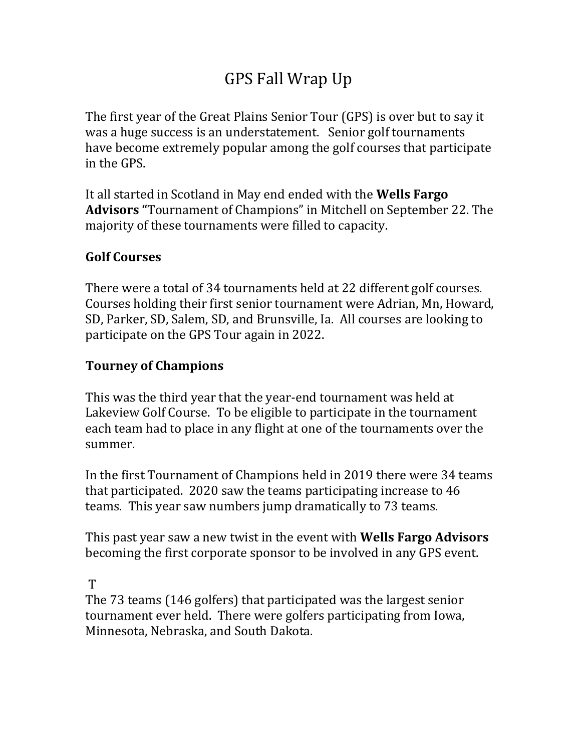# GPS Fall Wrap Up

The first year of the Great Plains Senior Tour (GPS) is over but to say it was a huge success is an understatement. Senior golf tournaments have become extremely popular among the golf courses that participate in the GPS.

It all started in Scotland in May end ended with the **Wells Fargo Advisors "**Tournament of Champions" in Mitchell on September 22. The majority of these tournaments were filled to capacity.

## **Golf Courses**

There were a total of 34 tournaments held at 22 different golf courses. Courses holding their first senior tournament were Adrian, Mn, Howard, SD, Parker, SD, Salem, SD, and Brunsville, Ia. All courses are looking to participate on the GPS Tour again in 2022.

## **Tourney of Champions**

This was the third year that the year-end tournament was held at Lakeview Golf Course. To be eligible to participate in the tournament each team had to place in any flight at one of the tournaments over the summer.

In the first Tournament of Champions held in 2019 there were 34 teams that participated. 2020 saw the teams participating increase to 46 teams. This year saw numbers jump dramatically to 73 teams.

This past year saw a new twist in the event with **Wells Fargo Advisors**  becoming the first corporate sponsor to be involved in any GPS event.

T

The 73 teams (146 golfers) that participated was the largest senior tournament ever held. There were golfers participating from Iowa, Minnesota, Nebraska, and South Dakota.